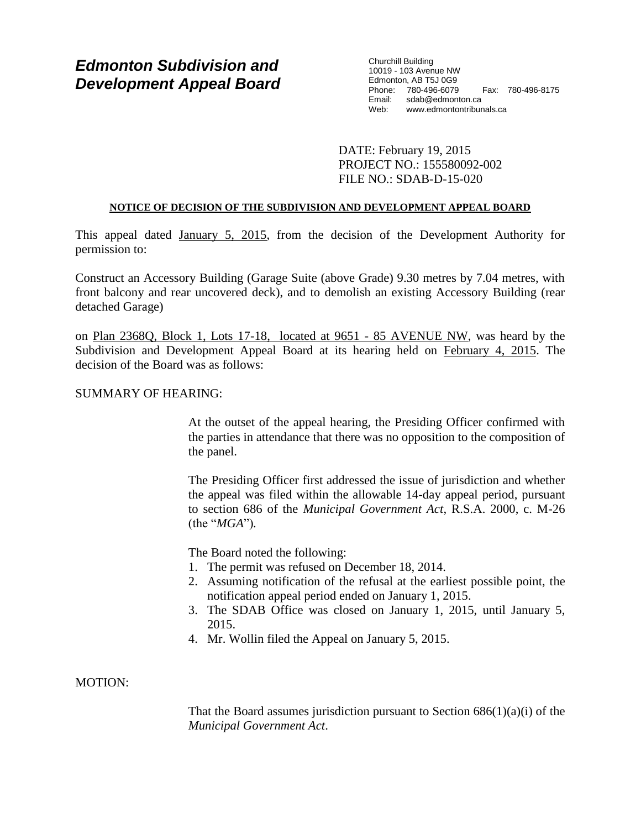# *Edmonton Subdivision and Development Appeal Board*

Churchill Building 10019 - 103 Avenue NW Edmonton, AB T5J 0G9 Phone: 780-496-6079 Fax: 780-496-8175 Email: sdab@edmonton.ca Web: www.edmontontribunals.ca

DATE: February 19, 2015 PROJECT NO.: 155580092-002 FILE NO.: SDAB-D-15-020

## **NOTICE OF DECISION OF THE SUBDIVISION AND DEVELOPMENT APPEAL BOARD**

This appeal dated January 5, 2015, from the decision of the Development Authority for permission to:

Construct an Accessory Building (Garage Suite (above Grade) 9.30 metres by 7.04 metres, with front balcony and rear uncovered deck), and to demolish an existing Accessory Building (rear detached Garage)

on Plan 2368Q, Block 1, Lots 17-18, located at 9651 - 85 AVENUE NW, was heard by the Subdivision and Development Appeal Board at its hearing held on February 4, 2015. The decision of the Board was as follows:

# SUMMARY OF HEARING:

At the outset of the appeal hearing, the Presiding Officer confirmed with the parties in attendance that there was no opposition to the composition of the panel.

The Presiding Officer first addressed the issue of jurisdiction and whether the appeal was filed within the allowable 14-day appeal period, pursuant to section 686 of the *Municipal Government Act*, R.S.A. 2000, c. M-26 (the "*MGA*")*.*

The Board noted the following:

- 1. The permit was refused on December 18, 2014.
- 2. Assuming notification of the refusal at the earliest possible point, the notification appeal period ended on January 1, 2015.
- 3. The SDAB Office was closed on January 1, 2015, until January 5, 2015.
- 4. Mr. Wollin filed the Appeal on January 5, 2015.

# MOTION:

That the Board assumes jurisdiction pursuant to Section  $686(1)(a)(i)$  of the *Municipal Government Act*.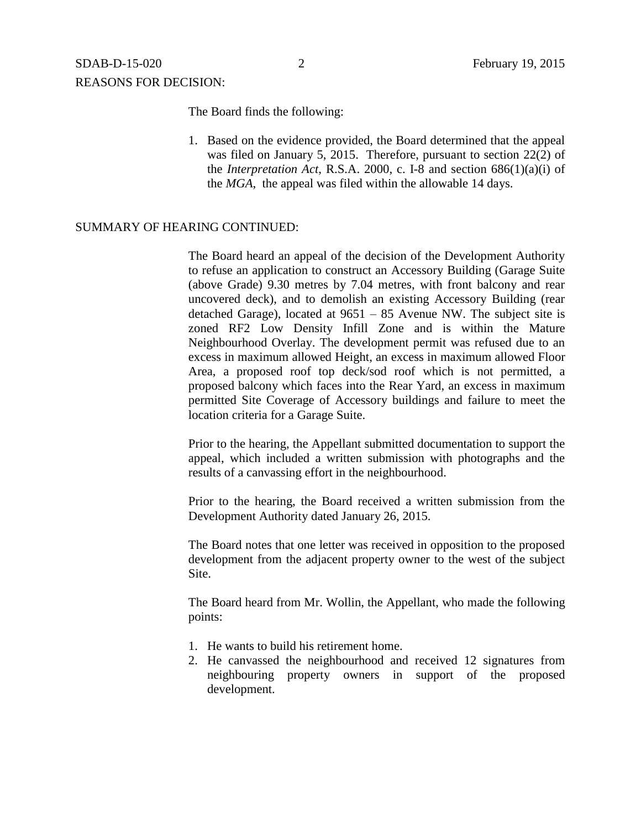The Board finds the following:

1. Based on the evidence provided, the Board determined that the appeal was filed on January 5, 2015. Therefore, pursuant to section 22(2) of the *Interpretation Act*, R.S.A. 2000, c. I-8 and section 686(1)(a)(i) of the *MGA*, the appeal was filed within the allowable 14 days.

#### SUMMARY OF HEARING CONTINUED:

The Board heard an appeal of the decision of the Development Authority to refuse an application to construct an Accessory Building (Garage Suite (above Grade) 9.30 metres by 7.04 metres, with front balcony and rear uncovered deck), and to demolish an existing Accessory Building (rear detached Garage), located at 9651 – 85 Avenue NW. The subject site is zoned RF2 Low Density Infill Zone and is within the Mature Neighbourhood Overlay. The development permit was refused due to an excess in maximum allowed Height, an excess in maximum allowed Floor Area, a proposed roof top deck/sod roof which is not permitted, a proposed balcony which faces into the Rear Yard, an excess in maximum permitted Site Coverage of Accessory buildings and failure to meet the location criteria for a Garage Suite.

Prior to the hearing, the Appellant submitted documentation to support the appeal, which included a written submission with photographs and the results of a canvassing effort in the neighbourhood.

Prior to the hearing, the Board received a written submission from the Development Authority dated January 26, 2015.

The Board notes that one letter was received in opposition to the proposed development from the adjacent property owner to the west of the subject Site.

The Board heard from Mr. Wollin, the Appellant, who made the following points:

- 1. He wants to build his retirement home.
- 2. He canvassed the neighbourhood and received 12 signatures from neighbouring property owners in support of the proposed development.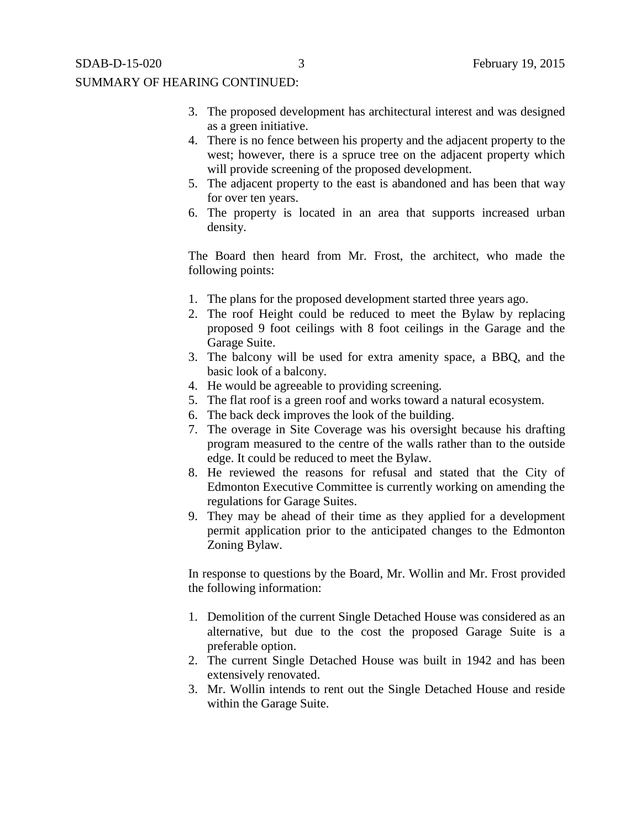- 3. The proposed development has architectural interest and was designed as a green initiative.
- 4. There is no fence between his property and the adjacent property to the west; however, there is a spruce tree on the adjacent property which will provide screening of the proposed development.
- 5. The adjacent property to the east is abandoned and has been that way for over ten years.
- 6. The property is located in an area that supports increased urban density.

The Board then heard from Mr. Frost, the architect, who made the following points:

- 1. The plans for the proposed development started three years ago.
- 2. The roof Height could be reduced to meet the Bylaw by replacing proposed 9 foot ceilings with 8 foot ceilings in the Garage and the Garage Suite.
- 3. The balcony will be used for extra amenity space, a BBQ, and the basic look of a balcony.
- 4. He would be agreeable to providing screening.
- 5. The flat roof is a green roof and works toward a natural ecosystem.
- 6. The back deck improves the look of the building.
- 7. The overage in Site Coverage was his oversight because his drafting program measured to the centre of the walls rather than to the outside edge. It could be reduced to meet the Bylaw.
- 8. He reviewed the reasons for refusal and stated that the City of Edmonton Executive Committee is currently working on amending the regulations for Garage Suites.
- 9. They may be ahead of their time as they applied for a development permit application prior to the anticipated changes to the Edmonton Zoning Bylaw.

In response to questions by the Board, Mr. Wollin and Mr. Frost provided the following information:

- 1. Demolition of the current Single Detached House was considered as an alternative, but due to the cost the proposed Garage Suite is a preferable option.
- 2. The current Single Detached House was built in 1942 and has been extensively renovated.
- 3. Mr. Wollin intends to rent out the Single Detached House and reside within the Garage Suite.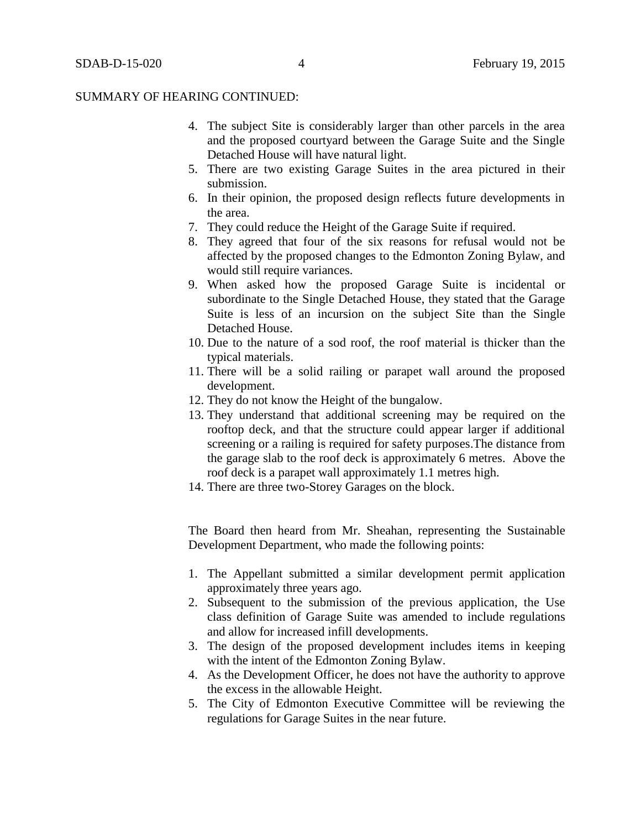#### SUMMARY OF HEARING CONTINUED:

- 4. The subject Site is considerably larger than other parcels in the area and the proposed courtyard between the Garage Suite and the Single Detached House will have natural light.
- 5. There are two existing Garage Suites in the area pictured in their submission.
- 6. In their opinion, the proposed design reflects future developments in the area.
- 7. They could reduce the Height of the Garage Suite if required.
- 8. They agreed that four of the six reasons for refusal would not be affected by the proposed changes to the Edmonton Zoning Bylaw, and would still require variances.
- 9. When asked how the proposed Garage Suite is incidental or subordinate to the Single Detached House, they stated that the Garage Suite is less of an incursion on the subject Site than the Single Detached House.
- 10. Due to the nature of a sod roof, the roof material is thicker than the typical materials.
- 11. There will be a solid railing or parapet wall around the proposed development.
- 12. They do not know the Height of the bungalow.
- 13. They understand that additional screening may be required on the rooftop deck, and that the structure could appear larger if additional screening or a railing is required for safety purposes.The distance from the garage slab to the roof deck is approximately 6 metres. Above the roof deck is a parapet wall approximately 1.1 metres high.
- 14. There are three two-Storey Garages on the block.

The Board then heard from Mr. Sheahan, representing the Sustainable Development Department, who made the following points:

- 1. The Appellant submitted a similar development permit application approximately three years ago.
- 2. Subsequent to the submission of the previous application, the Use class definition of Garage Suite was amended to include regulations and allow for increased infill developments.
- 3. The design of the proposed development includes items in keeping with the intent of the Edmonton Zoning Bylaw.
- 4. As the Development Officer, he does not have the authority to approve the excess in the allowable Height.
- 5. The City of Edmonton Executive Committee will be reviewing the regulations for Garage Suites in the near future.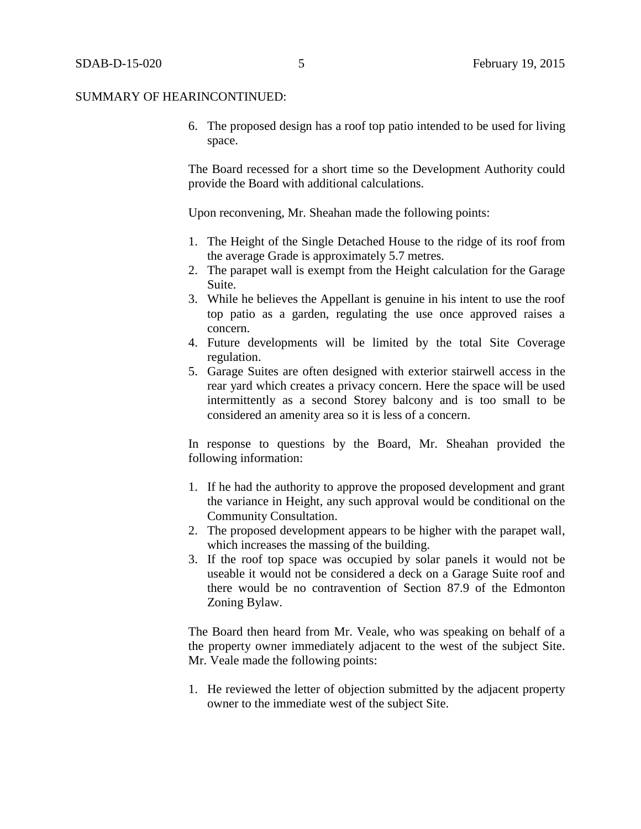#### SUMMARY OF HEARINCONTINUED:

6. The proposed design has a roof top patio intended to be used for living space.

The Board recessed for a short time so the Development Authority could provide the Board with additional calculations.

Upon reconvening, Mr. Sheahan made the following points:

- 1. The Height of the Single Detached House to the ridge of its roof from the average Grade is approximately 5.7 metres.
- 2. The parapet wall is exempt from the Height calculation for the Garage Suite.
- 3. While he believes the Appellant is genuine in his intent to use the roof top patio as a garden, regulating the use once approved raises a concern.
- 4. Future developments will be limited by the total Site Coverage regulation.
- 5. Garage Suites are often designed with exterior stairwell access in the rear yard which creates a privacy concern. Here the space will be used intermittently as a second Storey balcony and is too small to be considered an amenity area so it is less of a concern.

In response to questions by the Board, Mr. Sheahan provided the following information:

- 1. If he had the authority to approve the proposed development and grant the variance in Height, any such approval would be conditional on the Community Consultation.
- 2. The proposed development appears to be higher with the parapet wall, which increases the massing of the building.
- 3. If the roof top space was occupied by solar panels it would not be useable it would not be considered a deck on a Garage Suite roof and there would be no contravention of Section 87.9 of the Edmonton Zoning Bylaw.

The Board then heard from Mr. Veale, who was speaking on behalf of a the property owner immediately adjacent to the west of the subject Site. Mr. Veale made the following points:

1. He reviewed the letter of objection submitted by the adjacent property owner to the immediate west of the subject Site.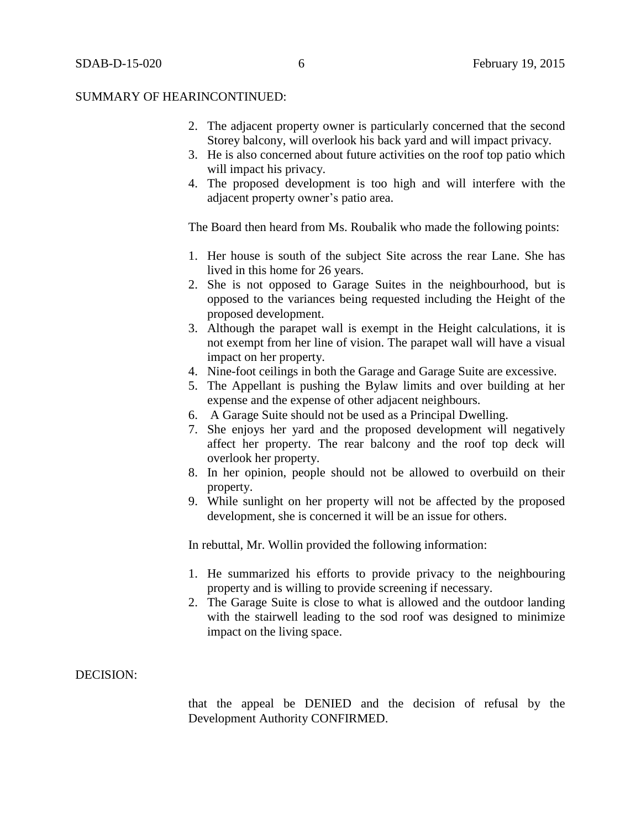#### SUMMARY OF HEARINCONTINUED:

- 2. The adjacent property owner is particularly concerned that the second Storey balcony, will overlook his back yard and will impact privacy.
- 3. He is also concerned about future activities on the roof top patio which will impact his privacy.
- 4. The proposed development is too high and will interfere with the adjacent property owner's patio area.

The Board then heard from Ms. Roubalik who made the following points:

- 1. Her house is south of the subject Site across the rear Lane. She has lived in this home for 26 years.
- 2. She is not opposed to Garage Suites in the neighbourhood, but is opposed to the variances being requested including the Height of the proposed development.
- 3. Although the parapet wall is exempt in the Height calculations, it is not exempt from her line of vision. The parapet wall will have a visual impact on her property.
- 4. Nine-foot ceilings in both the Garage and Garage Suite are excessive.
- 5. The Appellant is pushing the Bylaw limits and over building at her expense and the expense of other adjacent neighbours.
- 6. A Garage Suite should not be used as a Principal Dwelling.
- 7. She enjoys her yard and the proposed development will negatively affect her property. The rear balcony and the roof top deck will overlook her property.
- 8. In her opinion, people should not be allowed to overbuild on their property.
- 9. While sunlight on her property will not be affected by the proposed development, she is concerned it will be an issue for others.

In rebuttal, Mr. Wollin provided the following information:

- 1. He summarized his efforts to provide privacy to the neighbouring property and is willing to provide screening if necessary.
- 2. The Garage Suite is close to what is allowed and the outdoor landing with the stairwell leading to the sod roof was designed to minimize impact on the living space.

#### DECISION:

that the appeal be DENIED and the decision of refusal by the Development Authority CONFIRMED.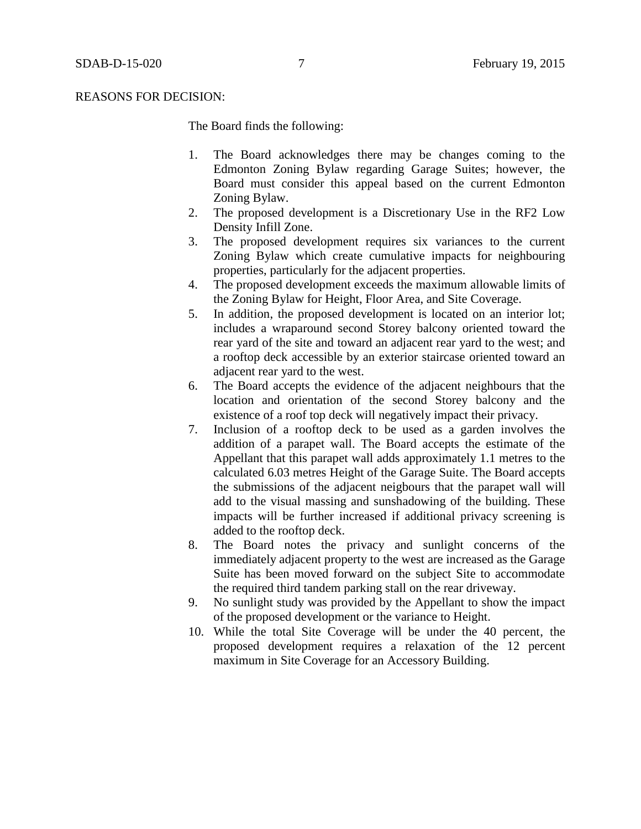#### REASONS FOR DECISION:

The Board finds the following:

- 1. The Board acknowledges there may be changes coming to the Edmonton Zoning Bylaw regarding Garage Suites; however, the Board must consider this appeal based on the current Edmonton Zoning Bylaw.
- 2. The proposed development is a Discretionary Use in the RF2 Low Density Infill Zone.
- 3. The proposed development requires six variances to the current Zoning Bylaw which create cumulative impacts for neighbouring properties, particularly for the adjacent properties.
- 4. The proposed development exceeds the maximum allowable limits of the Zoning Bylaw for Height, Floor Area, and Site Coverage.
- 5. In addition, the proposed development is located on an interior lot; includes a wraparound second Storey balcony oriented toward the rear yard of the site and toward an adjacent rear yard to the west; and a rooftop deck accessible by an exterior staircase oriented toward an adjacent rear yard to the west.
- 6. The Board accepts the evidence of the adjacent neighbours that the location and orientation of the second Storey balcony and the existence of a roof top deck will negatively impact their privacy.
- 7. Inclusion of a rooftop deck to be used as a garden involves the addition of a parapet wall. The Board accepts the estimate of the Appellant that this parapet wall adds approximately 1.1 metres to the calculated 6.03 metres Height of the Garage Suite. The Board accepts the submissions of the adjacent neigbours that the parapet wall will add to the visual massing and sunshadowing of the building. These impacts will be further increased if additional privacy screening is added to the rooftop deck.
- 8. The Board notes the privacy and sunlight concerns of the immediately adjacent property to the west are increased as the Garage Suite has been moved forward on the subject Site to accommodate the required third tandem parking stall on the rear driveway.
- 9. No sunlight study was provided by the Appellant to show the impact of the proposed development or the variance to Height.
- 10. While the total Site Coverage will be under the 40 percent, the proposed development requires a relaxation of the 12 percent maximum in Site Coverage for an Accessory Building.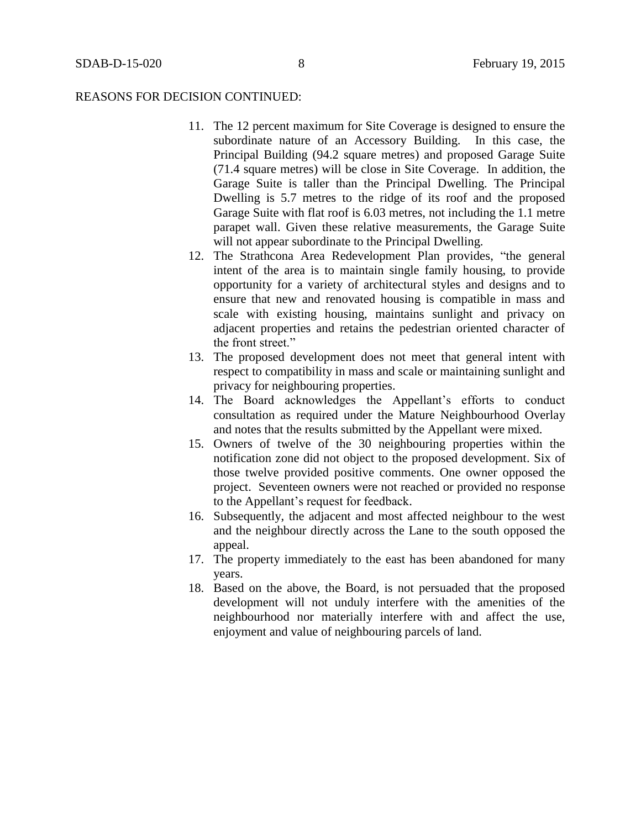#### REASONS FOR DECISION CONTINUED:

- 11. The 12 percent maximum for Site Coverage is designed to ensure the subordinate nature of an Accessory Building. In this case, the Principal Building (94.2 square metres) and proposed Garage Suite (71.4 square metres) will be close in Site Coverage. In addition, the Garage Suite is taller than the Principal Dwelling. The Principal Dwelling is 5.7 metres to the ridge of its roof and the proposed Garage Suite with flat roof is 6.03 metres, not including the 1.1 metre parapet wall. Given these relative measurements, the Garage Suite will not appear subordinate to the Principal Dwelling.
- 12. The Strathcona Area Redevelopment Plan provides, "the general intent of the area is to maintain single family housing, to provide opportunity for a variety of architectural styles and designs and to ensure that new and renovated housing is compatible in mass and scale with existing housing, maintains sunlight and privacy on adjacent properties and retains the pedestrian oriented character of the front street."
- 13. The proposed development does not meet that general intent with respect to compatibility in mass and scale or maintaining sunlight and privacy for neighbouring properties.
- 14. The Board acknowledges the Appellant's efforts to conduct consultation as required under the Mature Neighbourhood Overlay and notes that the results submitted by the Appellant were mixed.
- 15. Owners of twelve of the 30 neighbouring properties within the notification zone did not object to the proposed development. Six of those twelve provided positive comments. One owner opposed the project. Seventeen owners were not reached or provided no response to the Appellant's request for feedback.
- 16. Subsequently, the adjacent and most affected neighbour to the west and the neighbour directly across the Lane to the south opposed the appeal.
- 17. The property immediately to the east has been abandoned for many years.
- 18. Based on the above, the Board, is not persuaded that the proposed development will not unduly interfere with the amenities of the neighbourhood nor materially interfere with and affect the use, enjoyment and value of neighbouring parcels of land.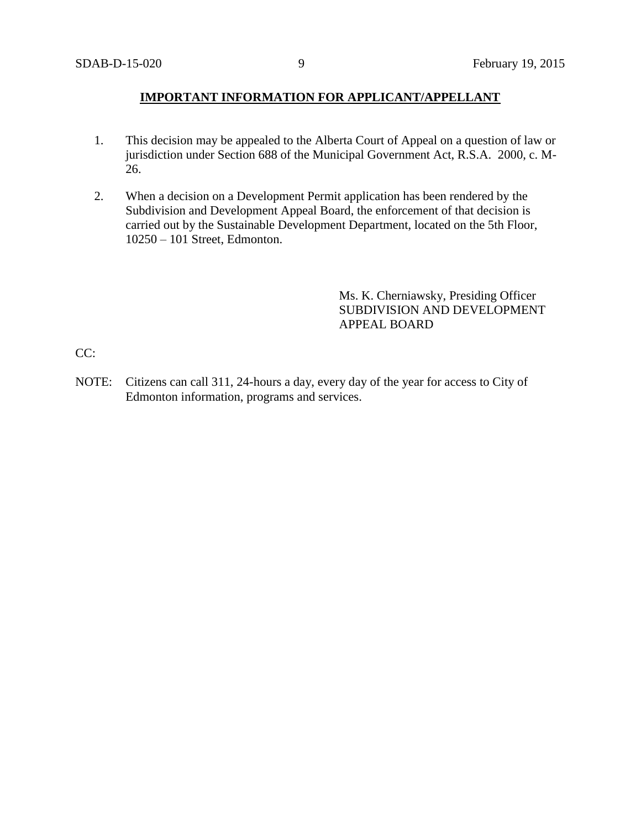# **IMPORTANT INFORMATION FOR APPLICANT/APPELLANT**

- 1. This decision may be appealed to the Alberta Court of Appeal on a question of law or jurisdiction under Section 688 of the Municipal Government Act, R.S.A. 2000, c. M-26.
- 2. When a decision on a Development Permit application has been rendered by the Subdivision and Development Appeal Board, the enforcement of that decision is carried out by the Sustainable Development Department, located on the 5th Floor, 10250 – 101 Street, Edmonton.

Ms. K. Cherniawsky, Presiding Officer SUBDIVISION AND DEVELOPMENT APPEAL BOARD

CC:

NOTE: Citizens can call 311, 24-hours a day, every day of the year for access to City of Edmonton information, programs and services.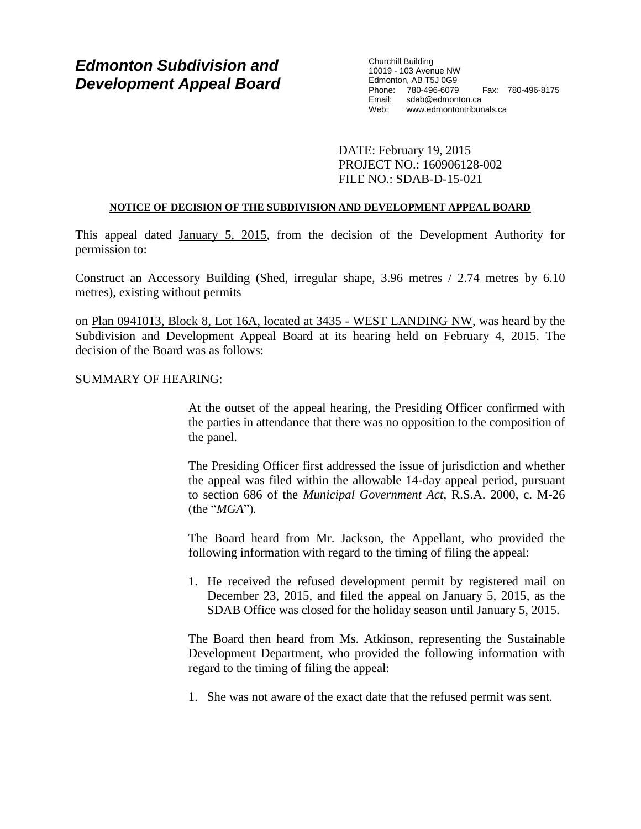# *Edmonton Subdivision and Development Appeal Board*

Churchill Building 10019 - 103 Avenue NW Edmonton, AB T5J 0G9 Phone: 780-496-6079 Fax: 780-496-8175 Email: sdab@edmonton.ca<br>Web: www.edmontontribur Web: www.edmontontribunals.ca

DATE: February 19, 2015 PROJECT NO.: 160906128-002 FILE NO.: SDAB-D-15-021

#### **NOTICE OF DECISION OF THE SUBDIVISION AND DEVELOPMENT APPEAL BOARD**

This appeal dated January 5, 2015, from the decision of the Development Authority for permission to:

Construct an Accessory Building (Shed, irregular shape, 3.96 metres / 2.74 metres by 6.10 metres), existing without permits

on Plan 0941013, Block 8, Lot 16A, located at 3435 - WEST LANDING NW, was heard by the Subdivision and Development Appeal Board at its hearing held on February 4, 2015. The decision of the Board was as follows:

#### SUMMARY OF HEARING:

At the outset of the appeal hearing, the Presiding Officer confirmed with the parties in attendance that there was no opposition to the composition of the panel.

The Presiding Officer first addressed the issue of jurisdiction and whether the appeal was filed within the allowable 14-day appeal period, pursuant to section 686 of the *Municipal Government Act*, R.S.A. 2000, c. M-26 (the "*MGA*")*.*

The Board heard from Mr. Jackson, the Appellant, who provided the following information with regard to the timing of filing the appeal:

1. He received the refused development permit by registered mail on December 23, 2015, and filed the appeal on January 5, 2015, as the SDAB Office was closed for the holiday season until January 5, 2015.

The Board then heard from Ms. Atkinson, representing the Sustainable Development Department, who provided the following information with regard to the timing of filing the appeal:

1. She was not aware of the exact date that the refused permit was sent.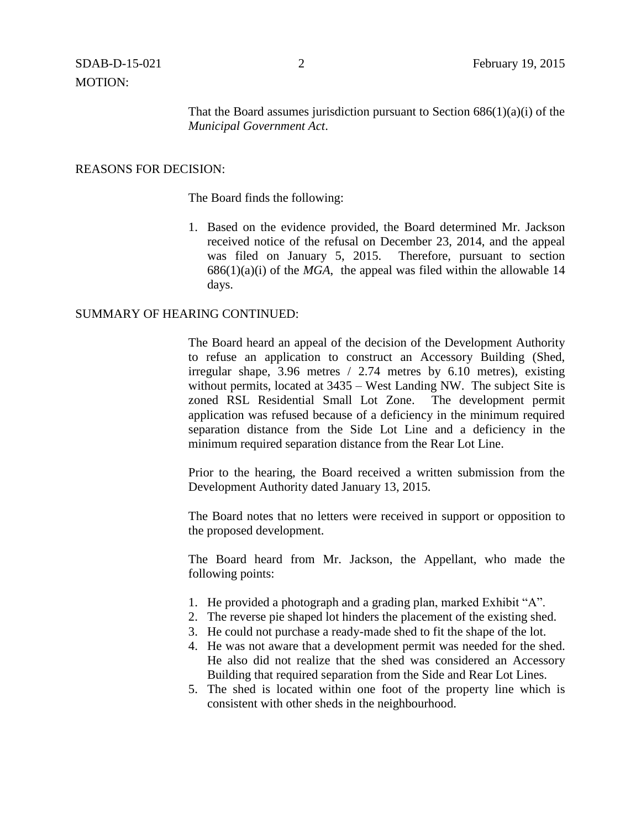MOTION:

That the Board assumes jurisdiction pursuant to Section  $686(1)(a)(i)$  of the *Municipal Government Act*.

## REASONS FOR DECISION:

The Board finds the following:

1. Based on the evidence provided, the Board determined Mr. Jackson received notice of the refusal on December 23, 2014, and the appeal was filed on January 5, 2015. Therefore, pursuant to section 686(1)(a)(i) of the *MGA*, the appeal was filed within the allowable 14 days.

## SUMMARY OF HEARING CONTINUED:

The Board heard an appeal of the decision of the Development Authority to refuse an application to construct an Accessory Building (Shed, irregular shape, 3.96 metres / 2.74 metres by 6.10 metres), existing without permits, located at 3435 – West Landing NW. The subject Site is zoned RSL Residential Small Lot Zone. The development permit application was refused because of a deficiency in the minimum required separation distance from the Side Lot Line and a deficiency in the minimum required separation distance from the Rear Lot Line.

Prior to the hearing, the Board received a written submission from the Development Authority dated January 13, 2015.

The Board notes that no letters were received in support or opposition to the proposed development.

The Board heard from Mr. Jackson, the Appellant, who made the following points:

- 1. He provided a photograph and a grading plan, marked Exhibit "A".
- 2. The reverse pie shaped lot hinders the placement of the existing shed.
- 3. He could not purchase a ready-made shed to fit the shape of the lot.
- 4. He was not aware that a development permit was needed for the shed. He also did not realize that the shed was considered an Accessory Building that required separation from the Side and Rear Lot Lines.
- 5. The shed is located within one foot of the property line which is consistent with other sheds in the neighbourhood.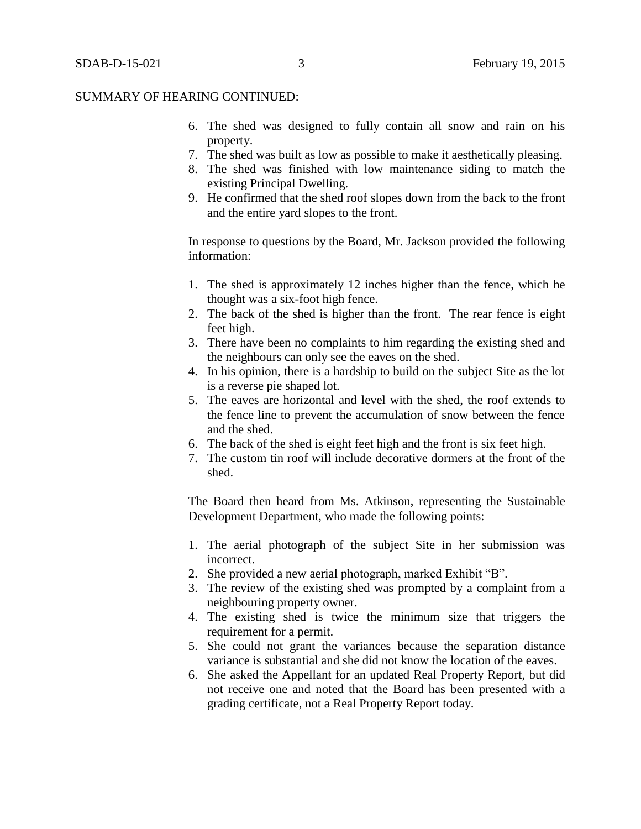#### SUMMARY OF HEARING CONTINUED:

- 6. The shed was designed to fully contain all snow and rain on his property.
- 7. The shed was built as low as possible to make it aesthetically pleasing.
- 8. The shed was finished with low maintenance siding to match the existing Principal Dwelling.
- 9. He confirmed that the shed roof slopes down from the back to the front and the entire yard slopes to the front.

In response to questions by the Board, Mr. Jackson provided the following information:

- 1. The shed is approximately 12 inches higher than the fence, which he thought was a six-foot high fence.
- 2. The back of the shed is higher than the front. The rear fence is eight feet high.
- 3. There have been no complaints to him regarding the existing shed and the neighbours can only see the eaves on the shed.
- 4. In his opinion, there is a hardship to build on the subject Site as the lot is a reverse pie shaped lot.
- 5. The eaves are horizontal and level with the shed, the roof extends to the fence line to prevent the accumulation of snow between the fence and the shed.
- 6. The back of the shed is eight feet high and the front is six feet high.
- 7. The custom tin roof will include decorative dormers at the front of the shed.

The Board then heard from Ms. Atkinson, representing the Sustainable Development Department, who made the following points:

- 1. The aerial photograph of the subject Site in her submission was incorrect.
- 2. She provided a new aerial photograph, marked Exhibit "B".
- 3. The review of the existing shed was prompted by a complaint from a neighbouring property owner.
- 4. The existing shed is twice the minimum size that triggers the requirement for a permit.
- 5. She could not grant the variances because the separation distance variance is substantial and she did not know the location of the eaves.
- 6. She asked the Appellant for an updated Real Property Report, but did not receive one and noted that the Board has been presented with a grading certificate, not a Real Property Report today.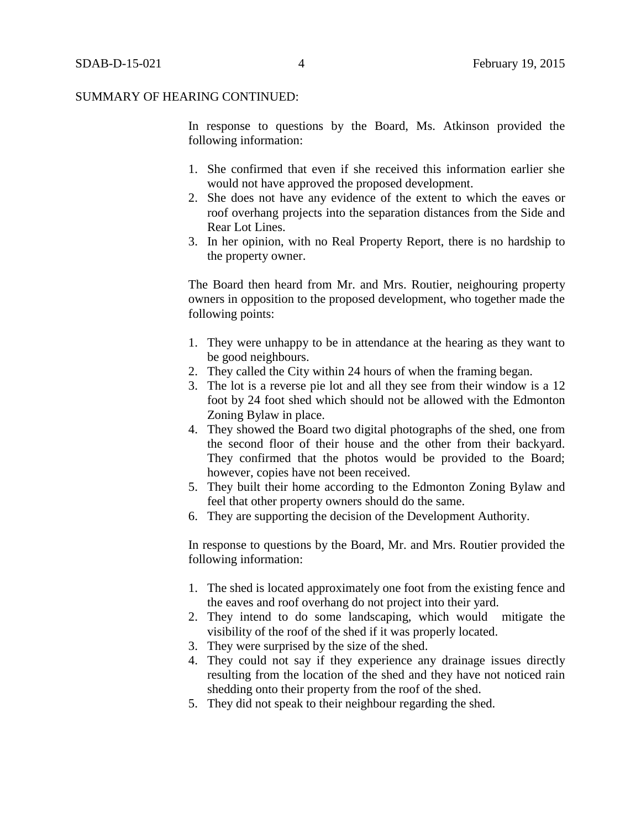In response to questions by the Board, Ms. Atkinson provided the following information:

- 1. She confirmed that even if she received this information earlier she would not have approved the proposed development.
- 2. She does not have any evidence of the extent to which the eaves or roof overhang projects into the separation distances from the Side and Rear Lot Lines.
- 3. In her opinion, with no Real Property Report, there is no hardship to the property owner.

The Board then heard from Mr. and Mrs. Routier, neighouring property owners in opposition to the proposed development, who together made the following points:

- 1. They were unhappy to be in attendance at the hearing as they want to be good neighbours.
- 2. They called the City within 24 hours of when the framing began.
- 3. The lot is a reverse pie lot and all they see from their window is a 12 foot by 24 foot shed which should not be allowed with the Edmonton Zoning Bylaw in place.
- 4. They showed the Board two digital photographs of the shed, one from the second floor of their house and the other from their backyard. They confirmed that the photos would be provided to the Board; however, copies have not been received.
- 5. They built their home according to the Edmonton Zoning Bylaw and feel that other property owners should do the same.
- 6. They are supporting the decision of the Development Authority.

In response to questions by the Board, Mr. and Mrs. Routier provided the following information:

- 1. The shed is located approximately one foot from the existing fence and the eaves and roof overhang do not project into their yard.
- 2. They intend to do some landscaping, which would mitigate the visibility of the roof of the shed if it was properly located.
- 3. They were surprised by the size of the shed.
- 4. They could not say if they experience any drainage issues directly resulting from the location of the shed and they have not noticed rain shedding onto their property from the roof of the shed.
- 5. They did not speak to their neighbour regarding the shed.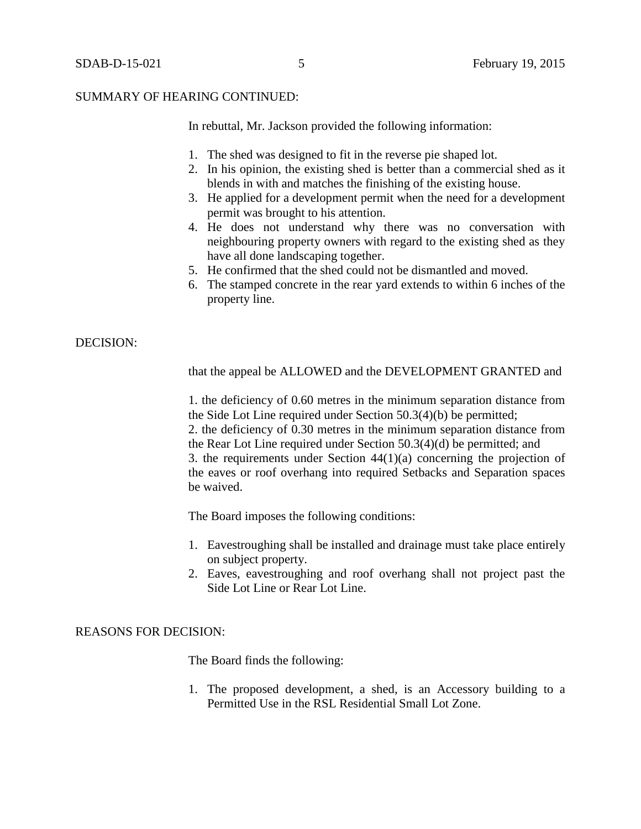#### SUMMARY OF HEARING CONTINUED:

In rebuttal, Mr. Jackson provided the following information:

- 1. The shed was designed to fit in the reverse pie shaped lot.
- 2. In his opinion, the existing shed is better than a commercial shed as it blends in with and matches the finishing of the existing house.
- 3. He applied for a development permit when the need for a development permit was brought to his attention.
- 4. He does not understand why there was no conversation with neighbouring property owners with regard to the existing shed as they have all done landscaping together.
- 5. He confirmed that the shed could not be dismantled and moved.
- 6. The stamped concrete in the rear yard extends to within 6 inches of the property line.

#### DECISION:

that the appeal be ALLOWED and the DEVELOPMENT GRANTED and

1. the deficiency of 0.60 metres in the minimum separation distance from the Side Lot Line required under Section 50.3(4)(b) be permitted; 2. the deficiency of 0.30 metres in the minimum separation distance from the Rear Lot Line required under Section 50.3(4)(d) be permitted; and 3. the requirements under Section 44(1)(a) concerning the projection of the eaves or roof overhang into required Setbacks and Separation spaces be waived.

The Board imposes the following conditions:

- 1. Eavestroughing shall be installed and drainage must take place entirely on subject property.
- 2. Eaves, eavestroughing and roof overhang shall not project past the Side Lot Line or Rear Lot Line.

#### REASONS FOR DECISION:

The Board finds the following:

1. The proposed development, a shed, is an Accessory building to a Permitted Use in the RSL Residential Small Lot Zone.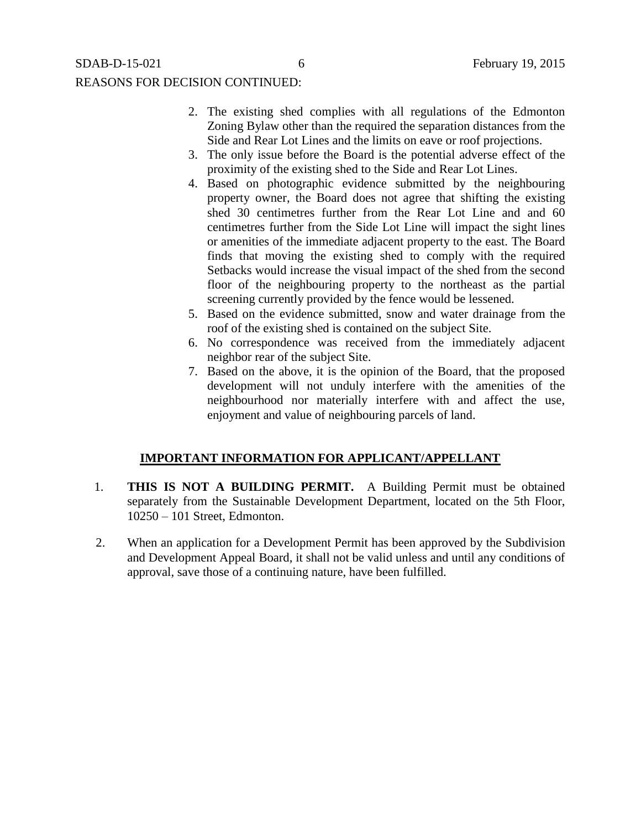## REASONS FOR DECISION CONTINUED:

- 2. The existing shed complies with all regulations of the Edmonton Zoning Bylaw other than the required the separation distances from the Side and Rear Lot Lines and the limits on eave or roof projections.
- 3. The only issue before the Board is the potential adverse effect of the proximity of the existing shed to the Side and Rear Lot Lines.
- 4. Based on photographic evidence submitted by the neighbouring property owner, the Board does not agree that shifting the existing shed 30 centimetres further from the Rear Lot Line and and 60 centimetres further from the Side Lot Line will impact the sight lines or amenities of the immediate adjacent property to the east. The Board finds that moving the existing shed to comply with the required Setbacks would increase the visual impact of the shed from the second floor of the neighbouring property to the northeast as the partial screening currently provided by the fence would be lessened.
- 5. Based on the evidence submitted, snow and water drainage from the roof of the existing shed is contained on the subject Site.
- 6. No correspondence was received from the immediately adjacent neighbor rear of the subject Site.
- 7. Based on the above, it is the opinion of the Board, that the proposed development will not unduly interfere with the amenities of the neighbourhood nor materially interfere with and affect the use, enjoyment and value of neighbouring parcels of land.

# **IMPORTANT INFORMATION FOR APPLICANT/APPELLANT**

- 1. **THIS IS NOT A BUILDING PERMIT.** A Building Permit must be obtained separately from the Sustainable Development Department, located on the 5th Floor, 10250 – 101 Street, Edmonton.
- 2. When an application for a Development Permit has been approved by the Subdivision and Development Appeal Board, it shall not be valid unless and until any conditions of approval, save those of a continuing nature, have been fulfilled.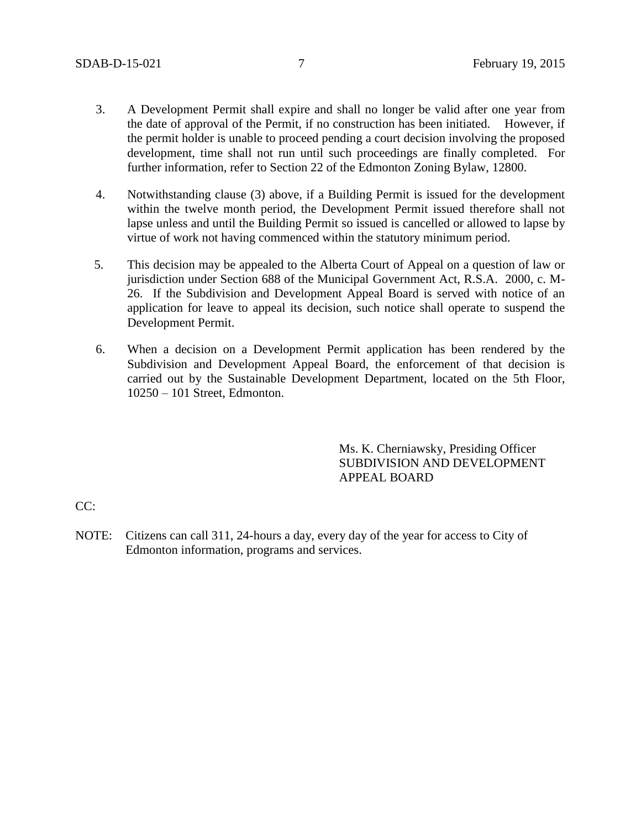- 3. A Development Permit shall expire and shall no longer be valid after one year from the date of approval of the Permit, if no construction has been initiated. However, if the permit holder is unable to proceed pending a court decision involving the proposed development, time shall not run until such proceedings are finally completed. For further information, refer to Section 22 of the Edmonton Zoning Bylaw, 12800.
- 4. Notwithstanding clause (3) above, if a Building Permit is issued for the development within the twelve month period, the Development Permit issued therefore shall not lapse unless and until the Building Permit so issued is cancelled or allowed to lapse by virtue of work not having commenced within the statutory minimum period.
- 5. This decision may be appealed to the Alberta Court of Appeal on a question of law or jurisdiction under Section 688 of the Municipal Government Act, R.S.A. 2000, c. M-26. If the Subdivision and Development Appeal Board is served with notice of an application for leave to appeal its decision, such notice shall operate to suspend the Development Permit.
- 6. When a decision on a Development Permit application has been rendered by the Subdivision and Development Appeal Board, the enforcement of that decision is carried out by the Sustainable Development Department, located on the 5th Floor, 10250 – 101 Street, Edmonton.

Ms. K. Cherniawsky, Presiding Officer SUBDIVISION AND DEVELOPMENT APPEAL BOARD

 $CC:$ 

NOTE: Citizens can call 311, 24-hours a day, every day of the year for access to City of Edmonton information, programs and services.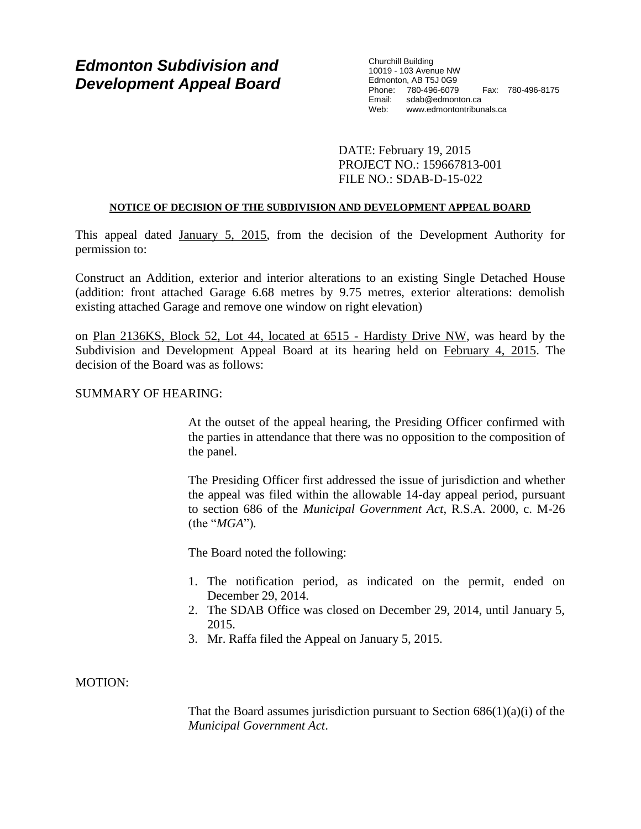# *Edmonton Subdivision and Development Appeal Board*

Churchill Building 10019 - 103 Avenue NW Edmonton, AB T5J 0G9 Phone: 780-496-6079 Fax: 780-496-8175 Email: sdab@edmonton.ca<br>Web: www.edmontontribur Web: www.edmontontribunals.ca

DATE: February 19, 2015 PROJECT NO.: 159667813-001 FILE NO.: SDAB-D-15-022

#### **NOTICE OF DECISION OF THE SUBDIVISION AND DEVELOPMENT APPEAL BOARD**

This appeal dated January 5, 2015, from the decision of the Development Authority for permission to:

Construct an Addition, exterior and interior alterations to an existing Single Detached House (addition: front attached Garage 6.68 metres by 9.75 metres, exterior alterations: demolish existing attached Garage and remove one window on right elevation)

on Plan 2136KS, Block 52, Lot 44, located at 6515 - Hardisty Drive NW, was heard by the Subdivision and Development Appeal Board at its hearing held on February 4, 2015. The decision of the Board was as follows:

# SUMMARY OF HEARING:

At the outset of the appeal hearing, the Presiding Officer confirmed with the parties in attendance that there was no opposition to the composition of the panel.

The Presiding Officer first addressed the issue of jurisdiction and whether the appeal was filed within the allowable 14-day appeal period, pursuant to section 686 of the *Municipal Government Act*, R.S.A. 2000, c. M-26 (the "*MGA*")*.*

The Board noted the following:

- 1. The notification period, as indicated on the permit, ended on December 29, 2014.
- 2. The SDAB Office was closed on December 29, 2014, until January 5, 2015.
- 3. Mr. Raffa filed the Appeal on January 5, 2015.

# MOTION:

That the Board assumes jurisdiction pursuant to Section  $686(1)(a)(i)$  of the *Municipal Government Act*.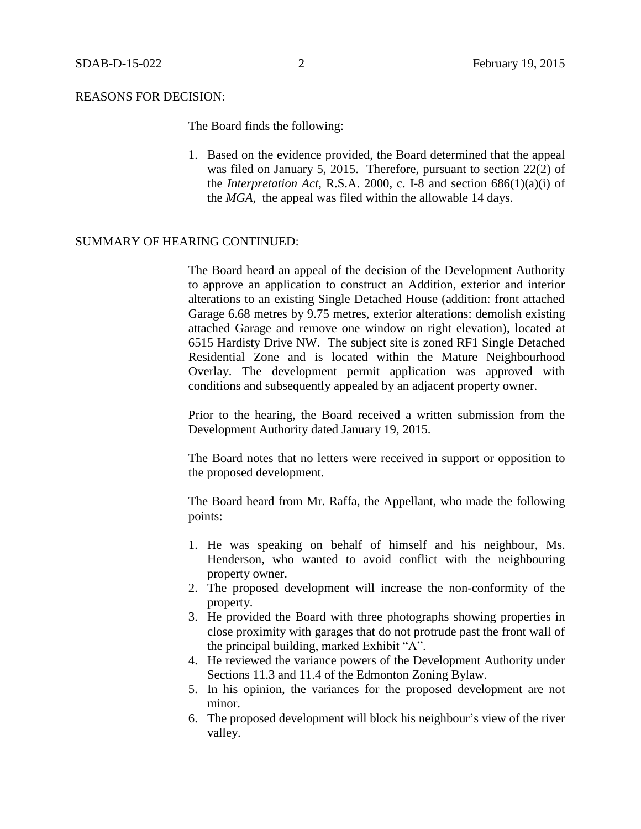#### REASONS FOR DECISION:

The Board finds the following:

1. Based on the evidence provided, the Board determined that the appeal was filed on January 5, 2015. Therefore, pursuant to section 22(2) of the *Interpretation Act*, R.S.A. 2000, c. I-8 and section 686(1)(a)(i) of the *MGA*, the appeal was filed within the allowable 14 days.

# SUMMARY OF HEARING CONTINUED:

The Board heard an appeal of the decision of the Development Authority to approve an application to construct an Addition, exterior and interior alterations to an existing Single Detached House (addition: front attached Garage 6.68 metres by 9.75 metres, exterior alterations: demolish existing attached Garage and remove one window on right elevation), located at 6515 Hardisty Drive NW. The subject site is zoned RF1 Single Detached Residential Zone and is located within the Mature Neighbourhood Overlay. The development permit application was approved with conditions and subsequently appealed by an adjacent property owner.

Prior to the hearing, the Board received a written submission from the Development Authority dated January 19, 2015.

The Board notes that no letters were received in support or opposition to the proposed development.

The Board heard from Mr. Raffa, the Appellant, who made the following points:

- 1. He was speaking on behalf of himself and his neighbour, Ms. Henderson, who wanted to avoid conflict with the neighbouring property owner.
- 2. The proposed development will increase the non-conformity of the property.
- 3. He provided the Board with three photographs showing properties in close proximity with garages that do not protrude past the front wall of the principal building, marked Exhibit "A".
- 4. He reviewed the variance powers of the Development Authority under Sections 11.3 and 11.4 of the Edmonton Zoning Bylaw.
- 5. In his opinion, the variances for the proposed development are not minor.
- 6. The proposed development will block his neighbour's view of the river valley.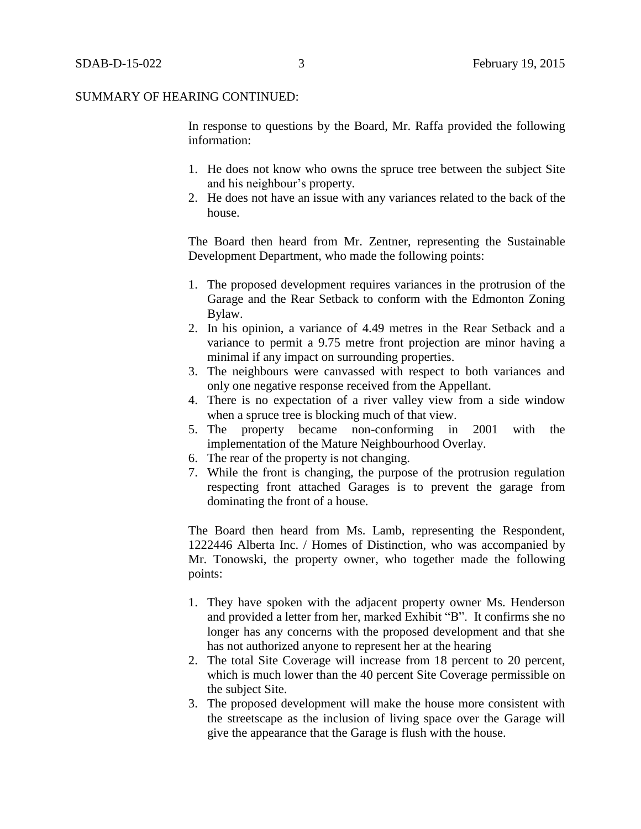#### SUMMARY OF HEARING CONTINUED:

In response to questions by the Board, Mr. Raffa provided the following information:

- 1. He does not know who owns the spruce tree between the subject Site and his neighbour's property.
- 2. He does not have an issue with any variances related to the back of the house.

The Board then heard from Mr. Zentner, representing the Sustainable Development Department, who made the following points:

- 1. The proposed development requires variances in the protrusion of the Garage and the Rear Setback to conform with the Edmonton Zoning Bylaw.
- 2. In his opinion, a variance of 4.49 metres in the Rear Setback and a variance to permit a 9.75 metre front projection are minor having a minimal if any impact on surrounding properties.
- 3. The neighbours were canvassed with respect to both variances and only one negative response received from the Appellant.
- 4. There is no expectation of a river valley view from a side window when a spruce tree is blocking much of that view.
- 5. The property became non-conforming in 2001 with the implementation of the Mature Neighbourhood Overlay.
- 6. The rear of the property is not changing.
- 7. While the front is changing, the purpose of the protrusion regulation respecting front attached Garages is to prevent the garage from dominating the front of a house.

The Board then heard from Ms. Lamb, representing the Respondent, 1222446 Alberta Inc. / Homes of Distinction, who was accompanied by Mr. Tonowski, the property owner, who together made the following points:

- 1. They have spoken with the adjacent property owner Ms. Henderson and provided a letter from her, marked Exhibit "B". It confirms she no longer has any concerns with the proposed development and that she has not authorized anyone to represent her at the hearing
- 2. The total Site Coverage will increase from 18 percent to 20 percent, which is much lower than the 40 percent Site Coverage permissible on the subject Site.
- 3. The proposed development will make the house more consistent with the streetscape as the inclusion of living space over the Garage will give the appearance that the Garage is flush with the house.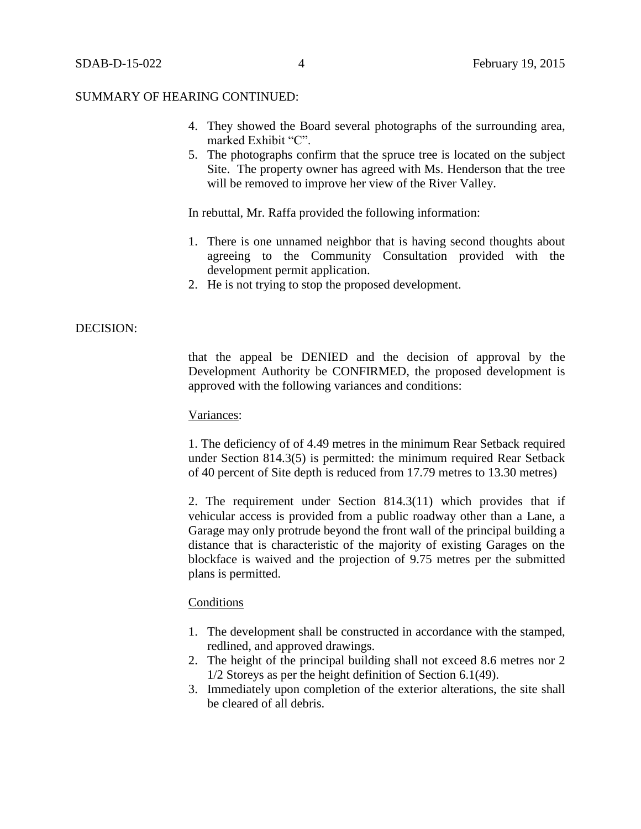- 4. They showed the Board several photographs of the surrounding area, marked Exhibit "C".
- 5. The photographs confirm that the spruce tree is located on the subject Site. The property owner has agreed with Ms. Henderson that the tree will be removed to improve her view of the River Valley.

In rebuttal, Mr. Raffa provided the following information:

- 1. There is one unnamed neighbor that is having second thoughts about agreeing to the Community Consultation provided with the development permit application.
- 2. He is not trying to stop the proposed development.

## DECISION:

that the appeal be DENIED and the decision of approval by the Development Authority be CONFIRMED, the proposed development is approved with the following variances and conditions:

#### Variances:

1. The deficiency of of 4.49 metres in the minimum Rear Setback required under Section 814.3(5) is permitted: the minimum required Rear Setback of 40 percent of Site depth is reduced from 17.79 metres to 13.30 metres)

2. The requirement under Section 814.3(11) which provides that if vehicular access is provided from a public roadway other than a Lane, a Garage may only protrude beyond the front wall of the principal building a distance that is characteristic of the majority of existing Garages on the blockface is waived and the projection of 9.75 metres per the submitted plans is permitted.

#### **Conditions**

- 1. The development shall be constructed in accordance with the stamped, redlined, and approved drawings.
- 2. The height of the principal building shall not exceed 8.6 metres nor 2 1/2 Storeys as per the height definition of Section 6.1(49).
- 3. Immediately upon completion of the exterior alterations, the site shall be cleared of all debris.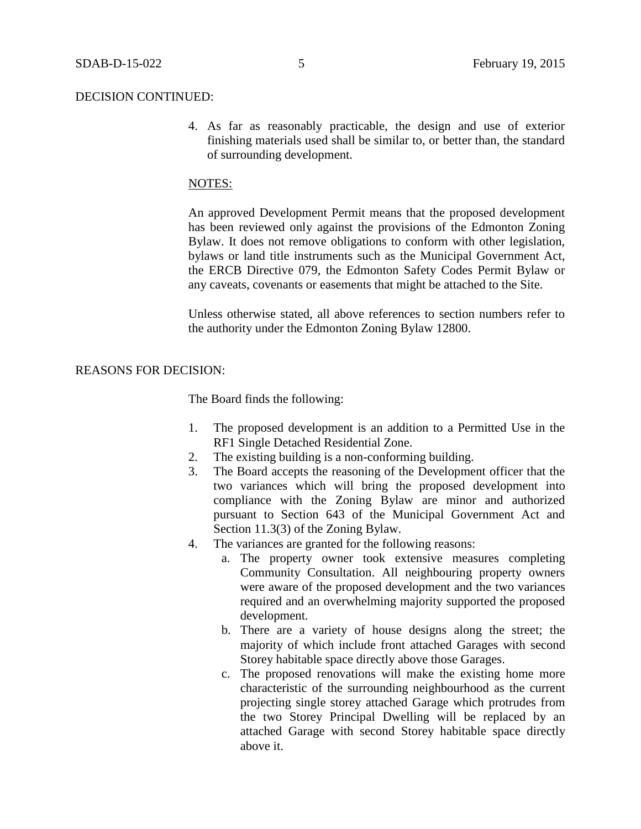#### DECISION CONTINUED:

4. As far as reasonably practicable, the design and use of exterior finishing materials used shall be similar to, or better than, the standard of surrounding development.

#### NOTES:

An approved Development Permit means that the proposed development has been reviewed only against the provisions of the Edmonton Zoning Bylaw. It does not remove obligations to conform with other legislation, bylaws or land title instruments such as the Municipal Government Act, the ERCB Directive 079, the Edmonton Safety Codes Permit Bylaw or any caveats, covenants or easements that might be attached to the Site.

Unless otherwise stated, all above references to section numbers refer to the authority under the Edmonton Zoning Bylaw 12800.

#### REASONS FOR DECISION:

The Board finds the following:

- 1. The proposed development is an addition to a Permitted Use in the RF1 Single Detached Residential Zone.
- 2. The existing building is a non-conforming building.
- 3. The Board accepts the reasoning of the Development officer that the two variances which will bring the proposed development into compliance with the Zoning Bylaw are minor and authorized pursuant to Section 643 of the Municipal Government Act and Section 11.3(3) of the Zoning Bylaw.
- 4. The variances are granted for the following reasons:
	- a. The property owner took extensive measures completing Community Consultation. All neighbouring property owners were aware of the proposed development and the two variances required and an overwhelming majority supported the proposed development.
	- b. There are a variety of house designs along the street; the majority of which include front attached Garages with second Storey habitable space directly above those Garages.
	- c. The proposed renovations will make the existing home more characteristic of the surrounding neighbourhood as the current projecting single storey attached Garage which protrudes from the two Storey Principal Dwelling will be replaced by an attached Garage with second Storey habitable space directly above it.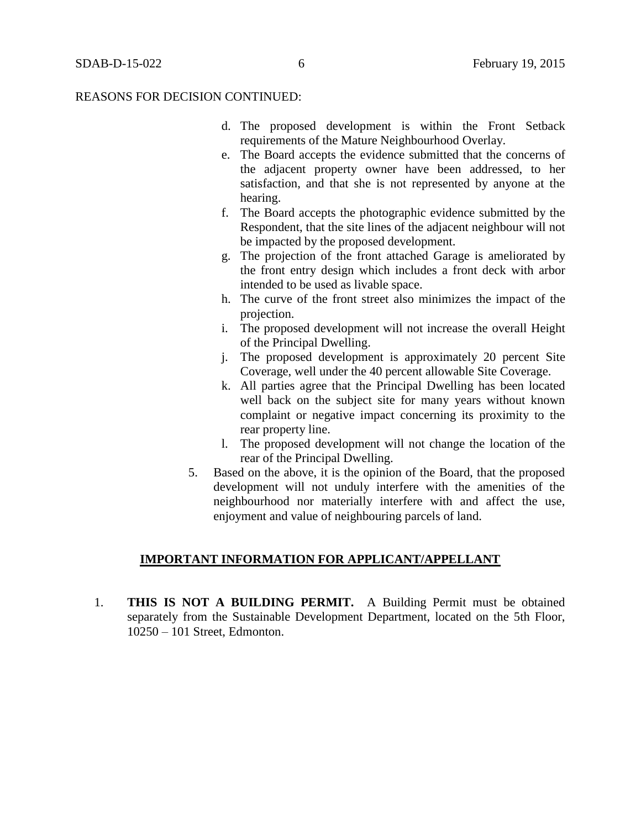- d. The proposed development is within the Front Setback requirements of the Mature Neighbourhood Overlay.
- e. The Board accepts the evidence submitted that the concerns of the adjacent property owner have been addressed, to her satisfaction, and that she is not represented by anyone at the hearing.
- f. The Board accepts the photographic evidence submitted by the Respondent, that the site lines of the adjacent neighbour will not be impacted by the proposed development.
- g. The projection of the front attached Garage is ameliorated by the front entry design which includes a front deck with arbor intended to be used as livable space.
- h. The curve of the front street also minimizes the impact of the projection.
- i. The proposed development will not increase the overall Height of the Principal Dwelling.
- j. The proposed development is approximately 20 percent Site Coverage, well under the 40 percent allowable Site Coverage.
- k. All parties agree that the Principal Dwelling has been located well back on the subject site for many years without known complaint or negative impact concerning its proximity to the rear property line.
- l. The proposed development will not change the location of the rear of the Principal Dwelling.
- 5. Based on the above, it is the opinion of the Board, that the proposed development will not unduly interfere with the amenities of the neighbourhood nor materially interfere with and affect the use, enjoyment and value of neighbouring parcels of land.

# **IMPORTANT INFORMATION FOR APPLICANT/APPELLANT**

1. **THIS IS NOT A BUILDING PERMIT.** A Building Permit must be obtained separately from the Sustainable Development Department, located on the 5th Floor, 10250 – 101 Street, Edmonton.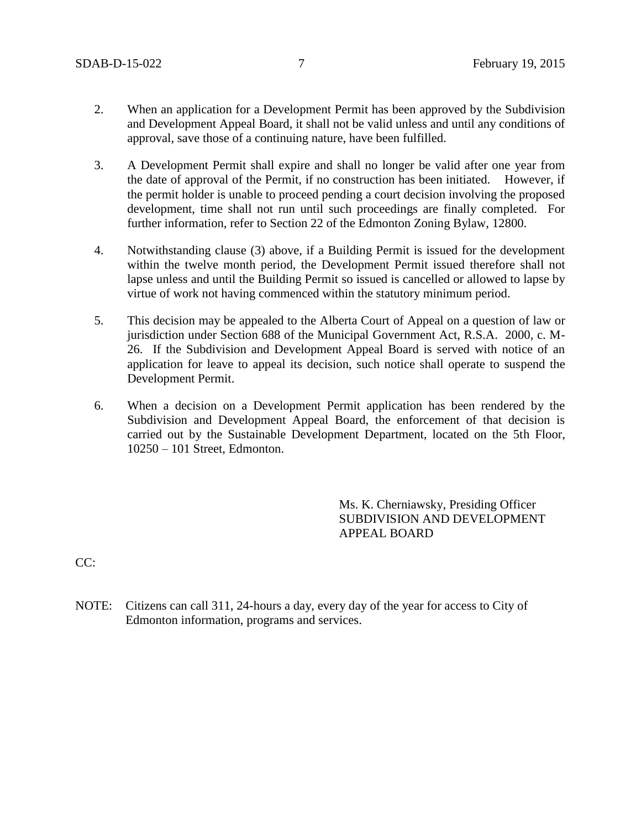- 2. When an application for a Development Permit has been approved by the Subdivision and Development Appeal Board, it shall not be valid unless and until any conditions of approval, save those of a continuing nature, have been fulfilled.
- 3. A Development Permit shall expire and shall no longer be valid after one year from the date of approval of the Permit, if no construction has been initiated. However, if the permit holder is unable to proceed pending a court decision involving the proposed development, time shall not run until such proceedings are finally completed. For further information, refer to Section 22 of the Edmonton Zoning Bylaw, 12800.
- 4. Notwithstanding clause (3) above, if a Building Permit is issued for the development within the twelve month period, the Development Permit issued therefore shall not lapse unless and until the Building Permit so issued is cancelled or allowed to lapse by virtue of work not having commenced within the statutory minimum period.
- 5. This decision may be appealed to the Alberta Court of Appeal on a question of law or jurisdiction under Section 688 of the Municipal Government Act, R.S.A. 2000, c. M-26. If the Subdivision and Development Appeal Board is served with notice of an application for leave to appeal its decision, such notice shall operate to suspend the Development Permit.
- 6. When a decision on a Development Permit application has been rendered by the Subdivision and Development Appeal Board, the enforcement of that decision is carried out by the Sustainable Development Department, located on the 5th Floor, 10250 – 101 Street, Edmonton.

Ms. K. Cherniawsky, Presiding Officer SUBDIVISION AND DEVELOPMENT APPEAL BOARD

CC:

NOTE: Citizens can call 311, 24-hours a day, every day of the year for access to City of Edmonton information, programs and services.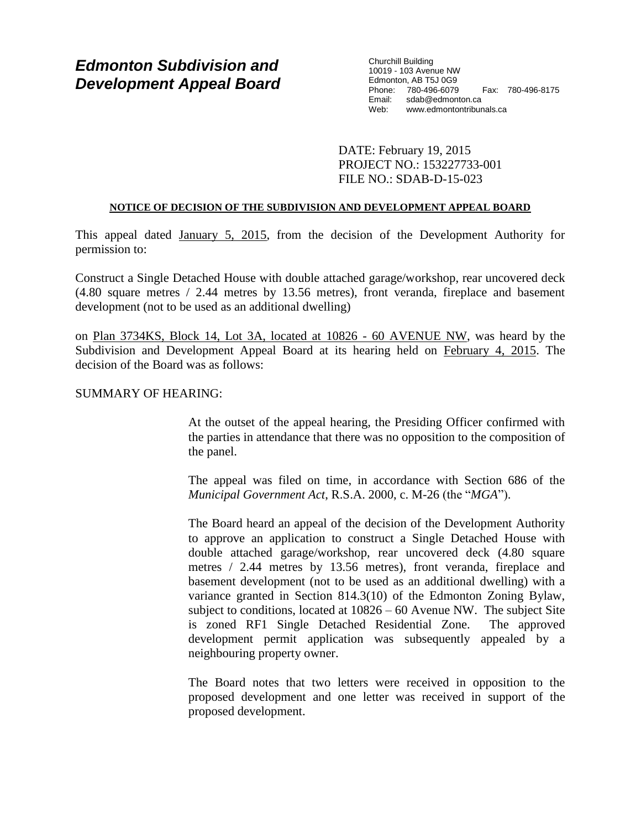# *Edmonton Subdivision and Development Appeal Board*

Churchill Building 10019 - 103 Avenue NW Edmonton, AB T5J 0G9 Phone: 780-496-6079 Fax: 780-496-8175 Email: sdab@edmonton.ca<br>Web: www.edmontontribur Web: www.edmontontribunals.ca

DATE: February 19, 2015 PROJECT NO.: 153227733-001 FILE NO.: SDAB-D-15-023

#### **NOTICE OF DECISION OF THE SUBDIVISION AND DEVELOPMENT APPEAL BOARD**

This appeal dated January 5, 2015, from the decision of the Development Authority for permission to:

Construct a Single Detached House with double attached garage/workshop, rear uncovered deck (4.80 square metres / 2.44 metres by 13.56 metres), front veranda, fireplace and basement development (not to be used as an additional dwelling)

on Plan 3734KS, Block 14, Lot 3A, located at 10826 - 60 AVENUE NW, was heard by the Subdivision and Development Appeal Board at its hearing held on February 4, 2015. The decision of the Board was as follows:

# SUMMARY OF HEARING:

At the outset of the appeal hearing, the Presiding Officer confirmed with the parties in attendance that there was no opposition to the composition of the panel.

The appeal was filed on time, in accordance with Section 686 of the *Municipal Government Act*, R.S.A. 2000, c. M-26 (the "*MGA*").

The Board heard an appeal of the decision of the Development Authority to approve an application to construct a Single Detached House with double attached garage/workshop, rear uncovered deck (4.80 square metres / 2.44 metres by 13.56 metres), front veranda, fireplace and basement development (not to be used as an additional dwelling) with a variance granted in Section 814.3(10) of the Edmonton Zoning Bylaw, subject to conditions, located at 10826 – 60 Avenue NW. The subject Site is zoned RF1 Single Detached Residential Zone. The approved development permit application was subsequently appealed by a neighbouring property owner.

The Board notes that two letters were received in opposition to the proposed development and one letter was received in support of the proposed development.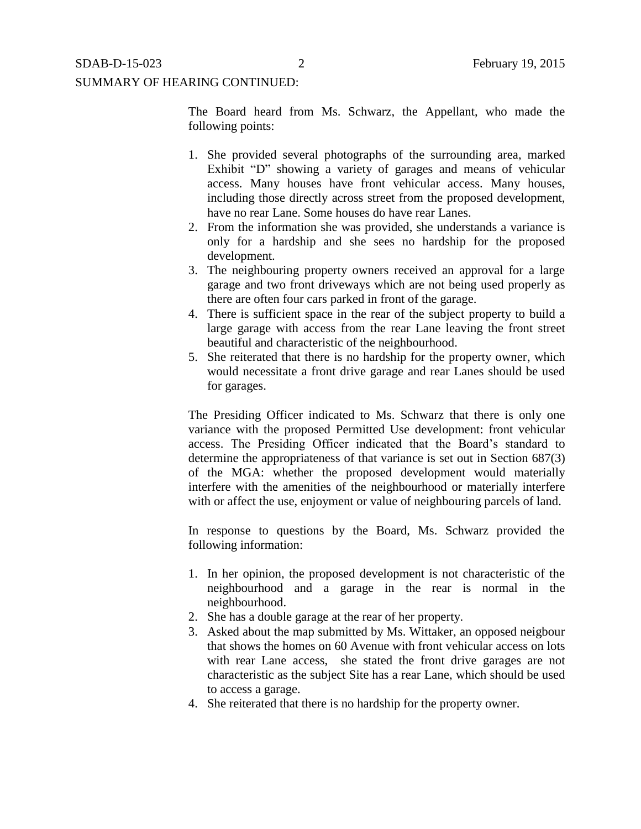# SUMMARY OF HEARING CONTINUED:

The Board heard from Ms. Schwarz, the Appellant, who made the following points:

- 1. She provided several photographs of the surrounding area, marked Exhibit "D" showing a variety of garages and means of vehicular access. Many houses have front vehicular access. Many houses, including those directly across street from the proposed development, have no rear Lane. Some houses do have rear Lanes.
- 2. From the information she was provided, she understands a variance is only for a hardship and she sees no hardship for the proposed development.
- 3. The neighbouring property owners received an approval for a large garage and two front driveways which are not being used properly as there are often four cars parked in front of the garage.
- 4. There is sufficient space in the rear of the subject property to build a large garage with access from the rear Lane leaving the front street beautiful and characteristic of the neighbourhood.
- 5. She reiterated that there is no hardship for the property owner, which would necessitate a front drive garage and rear Lanes should be used for garages.

The Presiding Officer indicated to Ms. Schwarz that there is only one variance with the proposed Permitted Use development: front vehicular access. The Presiding Officer indicated that the Board's standard to determine the appropriateness of that variance is set out in Section 687(3) of the MGA: whether the proposed development would materially interfere with the amenities of the neighbourhood or materially interfere with or affect the use, enjoyment or value of neighbouring parcels of land.

In response to questions by the Board, Ms. Schwarz provided the following information:

- 1. In her opinion, the proposed development is not characteristic of the neighbourhood and a garage in the rear is normal in the neighbourhood.
- 2. She has a double garage at the rear of her property.
- 3. Asked about the map submitted by Ms. Wittaker, an opposed neigbour that shows the homes on 60 Avenue with front vehicular access on lots with rear Lane access, she stated the front drive garages are not characteristic as the subject Site has a rear Lane, which should be used to access a garage.
- 4. She reiterated that there is no hardship for the property owner.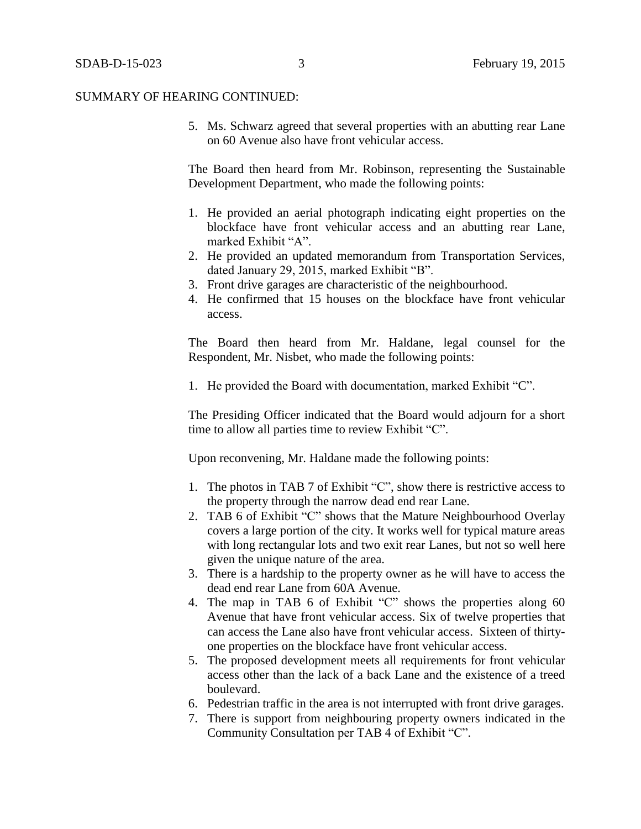5. Ms. Schwarz agreed that several properties with an abutting rear Lane on 60 Avenue also have front vehicular access.

The Board then heard from Mr. Robinson, representing the Sustainable Development Department, who made the following points:

- 1. He provided an aerial photograph indicating eight properties on the blockface have front vehicular access and an abutting rear Lane, marked Exhibit "A".
- 2. He provided an updated memorandum from Transportation Services, dated January 29, 2015, marked Exhibit "B".
- 3. Front drive garages are characteristic of the neighbourhood.
- 4. He confirmed that 15 houses on the blockface have front vehicular access.

The Board then heard from Mr. Haldane, legal counsel for the Respondent, Mr. Nisbet, who made the following points:

1. He provided the Board with documentation, marked Exhibit "C".

The Presiding Officer indicated that the Board would adjourn for a short time to allow all parties time to review Exhibit "C".

Upon reconvening, Mr. Haldane made the following points:

- 1. The photos in TAB 7 of Exhibit "C", show there is restrictive access to the property through the narrow dead end rear Lane.
- 2. TAB 6 of Exhibit "C" shows that the Mature Neighbourhood Overlay covers a large portion of the city. It works well for typical mature areas with long rectangular lots and two exit rear Lanes, but not so well here given the unique nature of the area.
- 3. There is a hardship to the property owner as he will have to access the dead end rear Lane from 60A Avenue.
- 4. The map in TAB 6 of Exhibit "C" shows the properties along 60 Avenue that have front vehicular access. Six of twelve properties that can access the Lane also have front vehicular access. Sixteen of thirtyone properties on the blockface have front vehicular access.
- 5. The proposed development meets all requirements for front vehicular access other than the lack of a back Lane and the existence of a treed boulevard.
- 6. Pedestrian traffic in the area is not interrupted with front drive garages.
- 7. There is support from neighbouring property owners indicated in the Community Consultation per TAB 4 of Exhibit "C".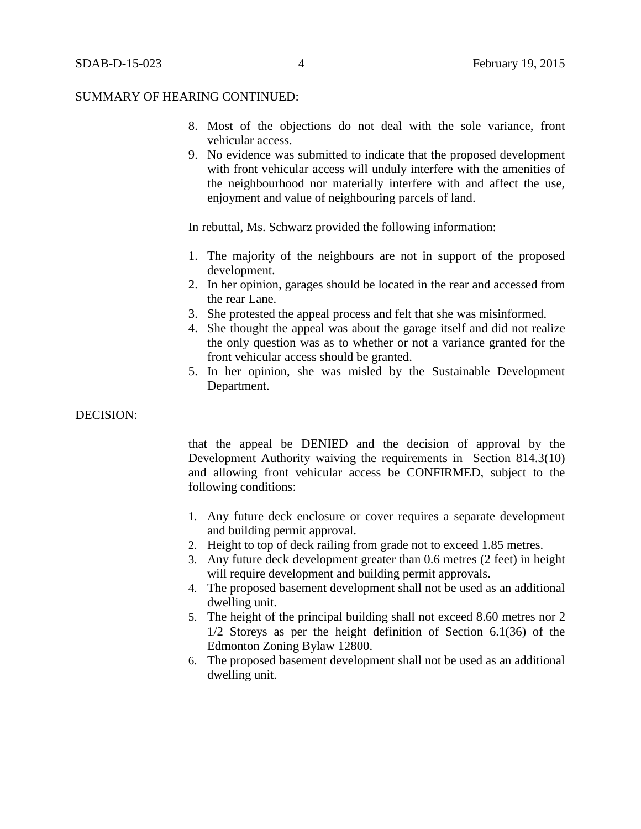#### SUMMARY OF HEARING CONTINUED:

- 8. Most of the objections do not deal with the sole variance, front vehicular access.
- 9. No evidence was submitted to indicate that the proposed development with front vehicular access will unduly interfere with the amenities of the neighbourhood nor materially interfere with and affect the use, enjoyment and value of neighbouring parcels of land.

In rebuttal, Ms. Schwarz provided the following information:

- 1. The majority of the neighbours are not in support of the proposed development.
- 2. In her opinion, garages should be located in the rear and accessed from the rear Lane.
- 3. She protested the appeal process and felt that she was misinformed.
- 4. She thought the appeal was about the garage itself and did not realize the only question was as to whether or not a variance granted for the front vehicular access should be granted.
- 5. In her opinion, she was misled by the Sustainable Development Department.

#### DECISION:

that the appeal be DENIED and the decision of approval by the Development Authority waiving the requirements in Section 814.3(10) and allowing front vehicular access be CONFIRMED, subject to the following conditions:

- 1. Any future deck enclosure or cover requires a separate development and building permit approval.
- 2. Height to top of deck railing from grade not to exceed 1.85 metres.
- 3. Any future deck development greater than 0.6 metres (2 feet) in height will require development and building permit approvals.
- 4. The proposed basement development shall not be used as an additional dwelling unit.
- 5. The height of the principal building shall not exceed 8.60 metres nor 2 1/2 Storeys as per the height definition of Section 6.1(36) of the Edmonton Zoning Bylaw 12800.
- 6. The proposed basement development shall not be used as an additional dwelling unit.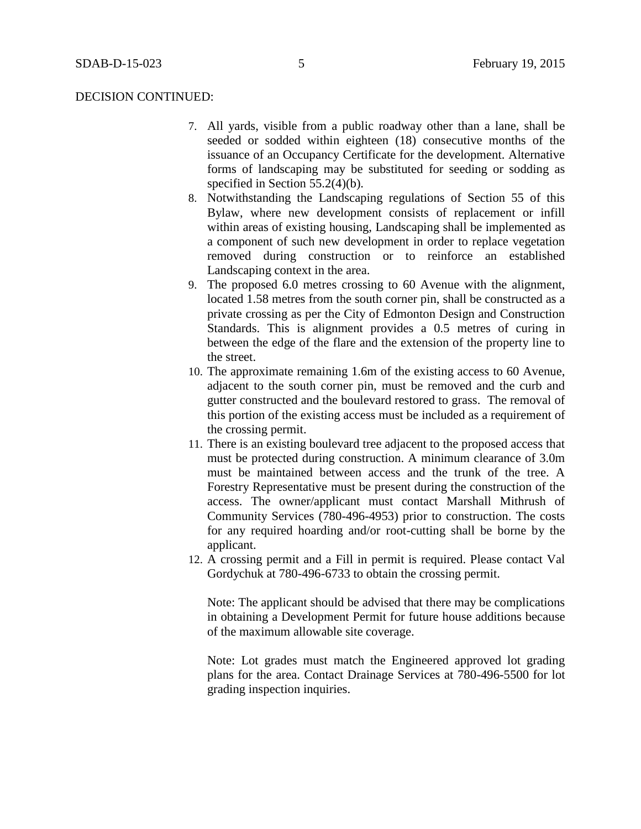#### DECISION CONTINUED:

- 7. All yards, visible from a public roadway other than a lane, shall be seeded or sodded within eighteen (18) consecutive months of the issuance of an Occupancy Certificate for the development. Alternative forms of landscaping may be substituted for seeding or sodding as specified in Section 55.2(4)(b).
- 8. Notwithstanding the Landscaping regulations of Section 55 of this Bylaw, where new development consists of replacement or infill within areas of existing housing, Landscaping shall be implemented as a component of such new development in order to replace vegetation removed during construction or to reinforce an established Landscaping context in the area.
- 9. The proposed 6.0 metres crossing to 60 Avenue with the alignment, located 1.58 metres from the south corner pin, shall be constructed as a private crossing as per the City of Edmonton Design and Construction Standards. This is alignment provides a 0.5 metres of curing in between the edge of the flare and the extension of the property line to the street.
- 10. The approximate remaining 1.6m of the existing access to 60 Avenue, adjacent to the south corner pin, must be removed and the curb and gutter constructed and the boulevard restored to grass. The removal of this portion of the existing access must be included as a requirement of the crossing permit.
- 11. There is an existing boulevard tree adjacent to the proposed access that must be protected during construction. A minimum clearance of 3.0m must be maintained between access and the trunk of the tree. A Forestry Representative must be present during the construction of the access. The owner/applicant must contact Marshall Mithrush of Community Services (780-496-4953) prior to construction. The costs for any required hoarding and/or root-cutting shall be borne by the applicant.
- 12. A crossing permit and a Fill in permit is required. Please contact Val Gordychuk at 780-496-6733 to obtain the crossing permit.

Note: The applicant should be advised that there may be complications in obtaining a Development Permit for future house additions because of the maximum allowable site coverage.

Note: Lot grades must match the Engineered approved lot grading plans for the area. Contact Drainage Services at 780-496-5500 for lot grading inspection inquiries.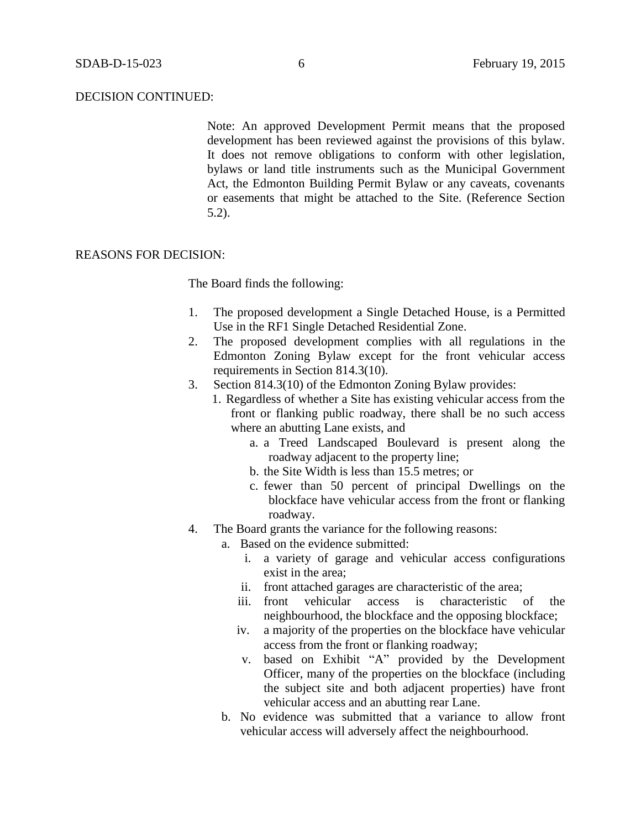#### DECISION CONTINUED:

Note: An approved Development Permit means that the proposed development has been reviewed against the provisions of this bylaw. It does not remove obligations to conform with other legislation, bylaws or land title instruments such as the Municipal Government Act, the Edmonton Building Permit Bylaw or any caveats, covenants or easements that might be attached to the Site. (Reference Section 5.2).

#### REASONS FOR DECISION:

The Board finds the following:

- 1. The proposed development a Single Detached House, is a Permitted Use in the RF1 Single Detached Residential Zone.
- 2. The proposed development complies with all regulations in the Edmonton Zoning Bylaw except for the front vehicular access requirements in Section 814.3(10).
- 3. Section 814.3(10) of the Edmonton Zoning Bylaw provides:
	- 1. Regardless of whether a Site has existing vehicular access from the front or flanking public roadway, there shall be no such access where an abutting Lane exists, and
		- a. a Treed Landscaped Boulevard is present along the roadway adjacent to the property line;
		- b. the Site Width is less than 15.5 metres; or
		- c. fewer than 50 percent of principal Dwellings on the blockface have vehicular access from the front or flanking roadway.
- 4. The Board grants the variance for the following reasons:
	- a. Based on the evidence submitted:
		- i. a variety of garage and vehicular access configurations exist in the area;
		- ii. front attached garages are characteristic of the area;
		- iii. front vehicular access is characteristic of the neighbourhood, the blockface and the opposing blockface;
		- iv. a majority of the properties on the blockface have vehicular access from the front or flanking roadway;
		- v. based on Exhibit "A" provided by the Development Officer, many of the properties on the blockface (including the subject site and both adjacent properties) have front vehicular access and an abutting rear Lane.
	- b. No evidence was submitted that a variance to allow front vehicular access will adversely affect the neighbourhood.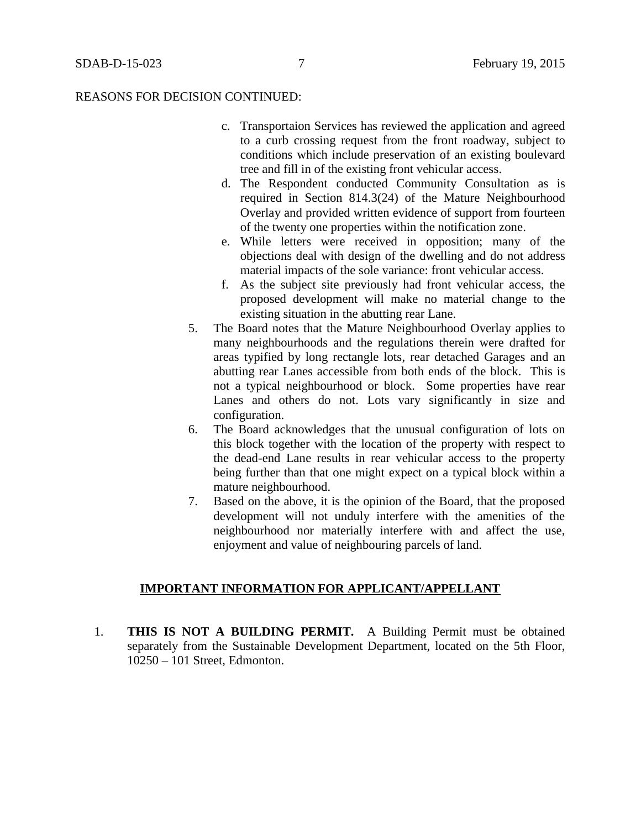## REASONS FOR DECISION CONTINUED:

- c. Transportaion Services has reviewed the application and agreed to a curb crossing request from the front roadway, subject to conditions which include preservation of an existing boulevard tree and fill in of the existing front vehicular access.
- d. The Respondent conducted Community Consultation as is required in Section 814.3(24) of the Mature Neighbourhood Overlay and provided written evidence of support from fourteen of the twenty one properties within the notification zone.
- e. While letters were received in opposition; many of the objections deal with design of the dwelling and do not address material impacts of the sole variance: front vehicular access.
- f. As the subject site previously had front vehicular access, the proposed development will make no material change to the existing situation in the abutting rear Lane.
- 5. The Board notes that the Mature Neighbourhood Overlay applies to many neighbourhoods and the regulations therein were drafted for areas typified by long rectangle lots, rear detached Garages and an abutting rear Lanes accessible from both ends of the block. This is not a typical neighbourhood or block. Some properties have rear Lanes and others do not. Lots vary significantly in size and configuration.
- 6. The Board acknowledges that the unusual configuration of lots on this block together with the location of the property with respect to the dead-end Lane results in rear vehicular access to the property being further than that one might expect on a typical block within a mature neighbourhood.
- 7. Based on the above, it is the opinion of the Board, that the proposed development will not unduly interfere with the amenities of the neighbourhood nor materially interfere with and affect the use, enjoyment and value of neighbouring parcels of land.

# **IMPORTANT INFORMATION FOR APPLICANT/APPELLANT**

1. **THIS IS NOT A BUILDING PERMIT.** A Building Permit must be obtained separately from the Sustainable Development Department, located on the 5th Floor, 10250 – 101 Street, Edmonton.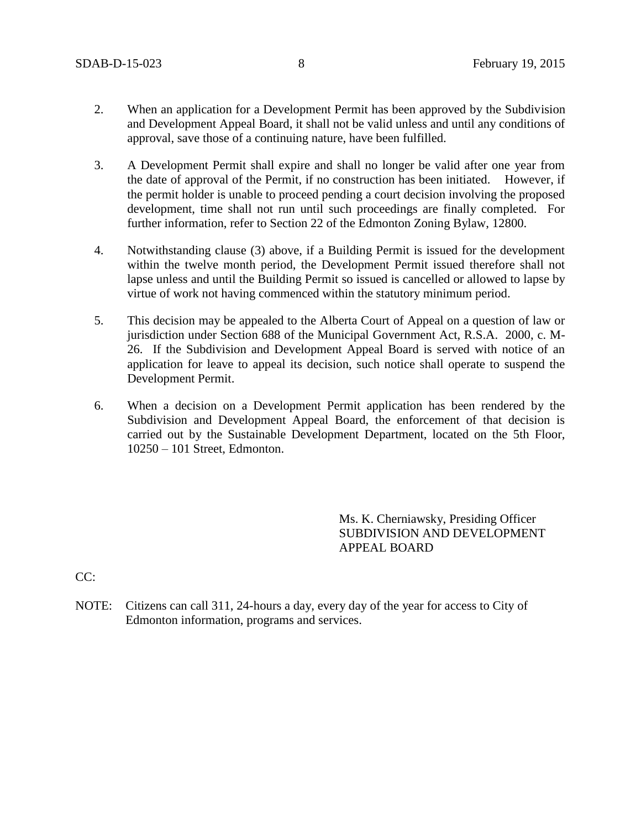- 2. When an application for a Development Permit has been approved by the Subdivision and Development Appeal Board, it shall not be valid unless and until any conditions of approval, save those of a continuing nature, have been fulfilled.
- 3. A Development Permit shall expire and shall no longer be valid after one year from the date of approval of the Permit, if no construction has been initiated. However, if the permit holder is unable to proceed pending a court decision involving the proposed development, time shall not run until such proceedings are finally completed. For further information, refer to Section 22 of the Edmonton Zoning Bylaw, 12800.
- 4. Notwithstanding clause (3) above, if a Building Permit is issued for the development within the twelve month period, the Development Permit issued therefore shall not lapse unless and until the Building Permit so issued is cancelled or allowed to lapse by virtue of work not having commenced within the statutory minimum period.
- 5. This decision may be appealed to the Alberta Court of Appeal on a question of law or jurisdiction under Section 688 of the Municipal Government Act, R.S.A. 2000, c. M-26. If the Subdivision and Development Appeal Board is served with notice of an application for leave to appeal its decision, such notice shall operate to suspend the Development Permit.
- 6. When a decision on a Development Permit application has been rendered by the Subdivision and Development Appeal Board, the enforcement of that decision is carried out by the Sustainable Development Department, located on the 5th Floor, 10250 – 101 Street, Edmonton.

Ms. K. Cherniawsky, Presiding Officer SUBDIVISION AND DEVELOPMENT APPEAL BOARD

 $CC:$ 

NOTE: Citizens can call 311, 24-hours a day, every day of the year for access to City of Edmonton information, programs and services.